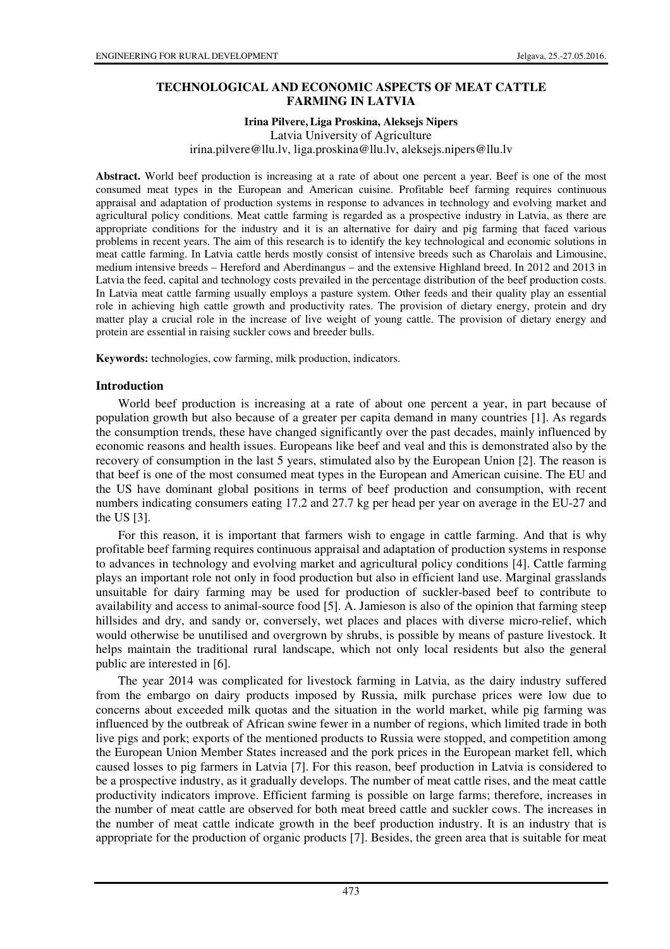## **TECHNOLOGICAL AND ECONOMIC ASPECTS OF MEAT CATTLE FARMING IN LATVIA**

#### **Irina Pilvere, Liga Proskina, Aleksejs Nipers**

Latvia University of Agriculture

irina.pilvere@llu.lv, liga.proskina@llu.lv, aleksejs.nipers@llu.lv

**Abstract.** World beef production is increasing at a rate of about one percent a year. Beef is one of the most consumed meat types in the European and American cuisine. Profitable beef farming requires continuous appraisal and adaptation of production systems in response to advances in technology and evolving market and agricultural policy conditions. Meat cattle farming is regarded as a prospective industry in Latvia, as there are appropriate conditions for the industry and it is an alternative for dairy and pig farming that faced various problems in recent years. The aim of this research is to identify the key technological and economic solutions in meat cattle farming. In Latvia cattle herds mostly consist of intensive breeds such as Charolais and Limousine, medium intensive breeds – Hereford and Aberdinangus – and the extensive Highland breed. In 2012 and 2013 in Latvia the feed, capital and technology costs prevailed in the percentage distribution of the beef production costs. In Latvia meat cattle farming usually employs a pasture system. Other feeds and their quality play an essential role in achieving high cattle growth and productivity rates. The provision of dietary energy, protein and dry matter play a crucial role in the increase of live weight of young cattle. The provision of dietary energy and protein are essential in raising suckler cows and breeder bulls.

**Keywords:** technologies, cow farming, milk production, indicators.

#### **Introduction**

World beef production is increasing at a rate of about one percent a year, in part because of population growth but also because of a greater per capita demand in many countries [1]. As regards the consumption trends, these have changed significantly over the past decades, mainly influenced by economic reasons and health issues. Europeans like beef and veal and this is demonstrated also by the recovery of consumption in the last 5 years, stimulated also by the European Union [2]. The reason is that beef is one of the most consumed meat types in the European and American cuisine. The EU and the US have dominant global positions in terms of beef production and consumption, with recent numbers indicating consumers eating 17.2 and 27.7 kg per head per year on average in the EU-27 and the US [3].

For this reason, it is important that farmers wish to engage in cattle farming. And that is why profitable beef farming requires continuous appraisal and adaptation of production systems in response to advances in technology and evolving market and agricultural policy conditions [4]. Cattle farming plays an important role not only in food production but also in efficient land use. Marginal grasslands unsuitable for dairy farming may be used for production of suckler-based beef to contribute to availability and access to animal-source food [5]. A. Jamieson is also of the opinion that farming steep hillsides and dry, and sandy or, conversely, wet places and places with diverse micro-relief, which would otherwise be unutilised and overgrown by shrubs, is possible by means of pasture livestock. It helps maintain the traditional rural landscape, which not only local residents but also the general public are interested in [6].

The year 2014 was complicated for livestock farming in Latvia, as the dairy industry suffered from the embargo on dairy products imposed by Russia, milk purchase prices were low due to concerns about exceeded milk quotas and the situation in the world market, while pig farming was influenced by the outbreak of African swine fewer in a number of regions, which limited trade in both live pigs and pork; exports of the mentioned products to Russia were stopped, and competition among the European Union Member States increased and the pork prices in the European market fell, which caused losses to pig farmers in Latvia [7]. For this reason, beef production in Latvia is considered to be a prospective industry, as it gradually develops. The number of meat cattle rises, and the meat cattle productivity indicators improve. Efficient farming is possible on large farms; therefore, increases in the number of meat cattle are observed for both meat breed cattle and suckler cows. The increases in the number of meat cattle indicate growth in the beef production industry. It is an industry that is appropriate for the production of organic products [7]. Besides, the green area that is suitable for meat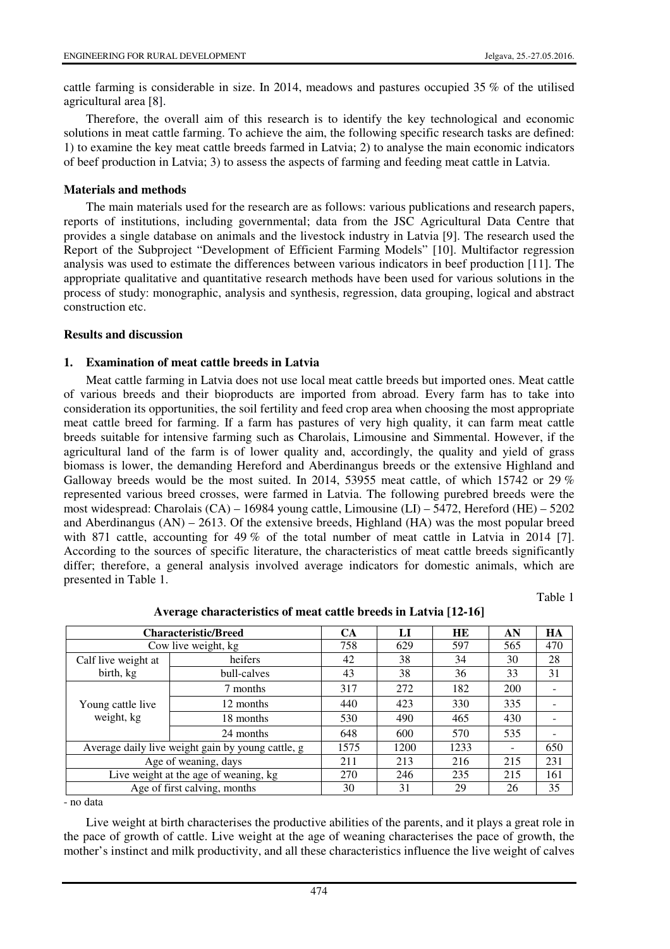cattle farming is considerable in size. In 2014, meadows and pastures occupied 35 % of the utilised agricultural area [8].

Therefore, the overall aim of this research is to identify the key technological and economic solutions in meat cattle farming. To achieve the aim, the following specific research tasks are defined: 1) to examine the key meat cattle breeds farmed in Latvia; 2) to analyse the main economic indicators of beef production in Latvia; 3) to assess the aspects of farming and feeding meat cattle in Latvia.

## **Materials and methods**

The main materials used for the research are as follows: various publications and research papers, reports of institutions, including governmental; data from the JSC Agricultural Data Centre that provides a single database on animals and the livestock industry in Latvia [9]. The research used the Report of the Subproject "Development of Efficient Farming Models" [10]. Multifactor regression analysis was used to estimate the differences between various indicators in beef production [11]. The appropriate qualitative and quantitative research methods have been used for various solutions in the process of study: monographic, analysis and synthesis, regression, data grouping, logical and abstract construction etc.

### **Results and discussion**

## **1. Examination of meat cattle breeds in Latvia**

Meat cattle farming in Latvia does not use local meat cattle breeds but imported ones. Meat cattle of various breeds and their bioproducts are imported from abroad. Every farm has to take into consideration its opportunities, the soil fertility and feed crop area when choosing the most appropriate meat cattle breed for farming. If a farm has pastures of very high quality, it can farm meat cattle breeds suitable for intensive farming such as Charolais, Limousine and Simmental. However, if the agricultural land of the farm is of lower quality and, accordingly, the quality and yield of grass biomass is lower, the demanding Hereford and Aberdinangus breeds or the extensive Highland and Galloway breeds would be the most suited. In 2014, 53955 meat cattle, of which 15742 or 29 % represented various breed crosses, were farmed in Latvia. The following purebred breeds were the most widespread: Charolais (CA) – 16984 young cattle, Limousine (LI) – 5472, Hereford (HE) – 5202 and Aberdinangus (AN) – 2613. Of the extensive breeds, Highland (HA) was the most popular breed with 871 cattle, accounting for 49 % of the total number of meat cattle in Latvia in 2014 [7]. According to the sources of specific literature, the characteristics of meat cattle breeds significantly differ; therefore, a general analysis involved average indicators for domestic animals, which are presented in Table 1.

Table 1

| <b>Characteristic/Breed</b>                       |             | <b>CA</b> | LI   | HЕ   | AN  | HA  |
|---------------------------------------------------|-------------|-----------|------|------|-----|-----|
| Cow live weight, kg                               |             | 758       | 629  | 597  | 565 | 470 |
| Calf live weight at                               | heifers     | 42        | 38   | 34   | 30  | 28  |
| birth, kg                                         | bull-calves | 43        | 38   | 36   | 33  | 31  |
| Young cattle live<br>weight, kg                   | 7 months    | 317       | 272  | 182  | 200 |     |
|                                                   | 12 months   | 440       | 423  | 330  | 335 |     |
|                                                   | 18 months   | 530       | 490  | 465  | 430 |     |
|                                                   | 24 months   | 648       | 600  | 570  | 535 |     |
| Average daily live weight gain by young cattle, g |             | 1575      | 1200 | 1233 |     | 650 |
| Age of weaning, days                              |             | 211       | 213  | 216  | 215 | 231 |
| Live weight at the age of weaning, kg             |             | 270       | 246  | 235  | 215 | 161 |
| Age of first calving, months                      |             | 30        | 31   | 29   | 26  | 35  |

**Average characteristics of meat cattle breeds in Latvia [12-16]** 

- no data

Live weight at birth characterises the productive abilities of the parents, and it plays a great role in the pace of growth of cattle. Live weight at the age of weaning characterises the pace of growth, the mother's instinct and milk productivity, and all these characteristics influence the live weight of calves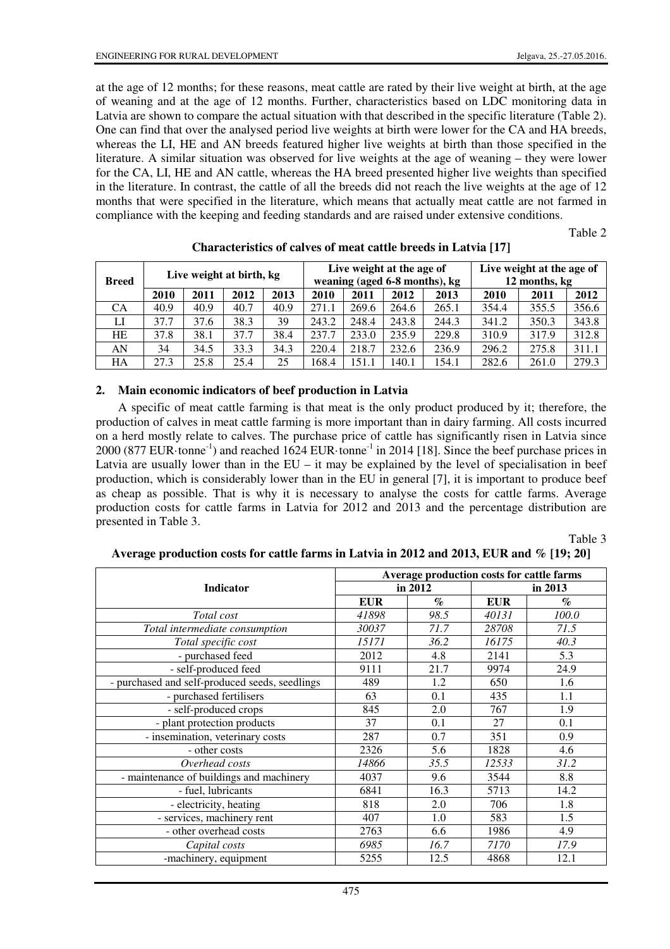at the age of 12 months; for these reasons, meat cattle are rated by their live weight at birth, at the age of weaning and at the age of 12 months. Further, characteristics based on LDC monitoring data in Latvia are shown to compare the actual situation with that described in the specific literature (Table 2). One can find that over the analysed period live weights at birth were lower for the CA and HA breeds, whereas the LI, HE and AN breeds featured higher live weights at birth than those specified in the literature. A similar situation was observed for live weights at the age of weaning – they were lower for the CA, LI, HE and AN cattle, whereas the HA breed presented higher live weights than specified in the literature. In contrast, the cattle of all the breeds did not reach the live weights at the age of 12 months that were specified in the literature, which means that actually meat cattle are not farmed in compliance with the keeping and feeding standards and are raised under extensive conditions.

Table 2

| <b>Breed</b> | Live weight at birth, kg |      |      | Live weight at the age of<br>weaning (aged 6-8 months), kg |       |       |       | Live weight at the age of<br>12 months, kg |       |       |       |
|--------------|--------------------------|------|------|------------------------------------------------------------|-------|-------|-------|--------------------------------------------|-------|-------|-------|
|              | 2010                     | 2011 | 2012 | 2013                                                       | 2010  | 2011  | 2012  | 2013                                       | 2010  | 2011  | 2012  |
| <b>CA</b>    | 40.9                     | 40.9 | 40.7 | 40.9                                                       | 271.1 | 269.6 | 264.6 | 265.1                                      | 354.4 | 355.5 | 356.6 |
| LI           | 37.7                     | 37.6 | 38.3 | 39                                                         | 243.2 | 248.4 | 243.8 | 244.3                                      | 341.2 | 350.3 | 343.8 |
| HE           | 37.8                     | 38.1 | 37.7 | 38.4                                                       | 237.7 | 233.0 | 235.9 | 229.8                                      | 310.9 | 317.9 | 312.8 |
| AN           | 34                       | 34.5 | 33.3 | 34.3                                                       | 220.4 | 218.7 | 232.6 | 236.9                                      | 296.2 | 275.8 | 311.1 |
| HA           | 27.3                     | 25.8 | 25.4 | 25                                                         | 168.4 | 151.1 | 140.1 | 154.1                                      | 282.6 | 261.0 | 279.3 |

# **Characteristics of calves of meat cattle breeds in Latvia [17]**

# **2. Main economic indicators of beef production in Latvia**

A specific of meat cattle farming is that meat is the only product produced by it; therefore, the production of calves in meat cattle farming is more important than in dairy farming. All costs incurred on a herd mostly relate to calves. The purchase price of cattle has significantly risen in Latvia since 2000 (877 EUR·tonne<sup>-1</sup>) and reached 1624 EUR·tonne<sup>-1</sup> in 2014 [18]. Since the beef purchase prices in Latvia are usually lower than in the  $EU - it$  may be explained by the level of specialisation in beef production, which is considerably lower than in the EU in general [7], it is important to produce beef as cheap as possible. That is why it is necessary to analyse the costs for cattle farms. Average production costs for cattle farms in Latvia for 2012 and 2013 and the percentage distribution are presented in Table 3.

Table 3

# **Average production costs for cattle farms Indicator in 2012 in 2013 EUR % EUR %** *Total cost 41898 98.5 40131 100.0 Total intermediate consumption 30037 71.7 28708 71.5 Total specific cost 15171 36.2 16175 40.3*  - purchased feed 2012 4.8 2141 5.3 - self-produced feed 9111 21.7 9974 24.9 - purchased and self-produced seeds, seedlings  $\begin{vmatrix} 489 & 1.2 & 650 \\ -1.2 & 650 & 1.6 \end{vmatrix}$ - purchased fertilisers 63 0.1 435 1.1 - self-produced crops 845 2.0 767 1.9 - plant protection products  $\begin{array}{|l|c|c|c|c|c|c|}\n\hline\n 37 & 0.1 & 27 & 0.1 \\
127 & 0.7 & 351 & 0.9 \\
\hline\n\end{array}$  $\frac{1}{287}$  insemination, veterinary costs  $\frac{287}{287}$  0.7  $\frac{351}{351}$  0.9 - other costs 2326 5.6 1828 4.6 *Overhead costs* 14866 35.5 12533 31.2 - maintenance of buildings and machinery  $\begin{array}{|c|c|c|c|c|c|} \hline \end{array}$  4037 9.6 3544 8.8 - fuel, lubricants 16841 16.3 5713 14.2 - electricity, heating 1.8 818 2.0 706 1.8 - services, machinery rent  $\begin{vmatrix} 407 & 1.0 & 583 \\ -1.5 & 1.5 & 1.5 \end{vmatrix}$  $-$  other overhead costs  $\begin{array}{|c|c|c|c|c|c|c|c|} \hline \end{array}$  2763  $\begin{array}{|c|c|c|c|c|c|c|c|} \hline \end{array}$  6.6 1986 4.9 *Capital costs* 6985 16.7 7170 17.9 -machinery, equipment 12.5 12.5 4868 12.1

### **Average production costs for cattle farms in Latvia in 2012 and 2013, EUR and % [19; 20]**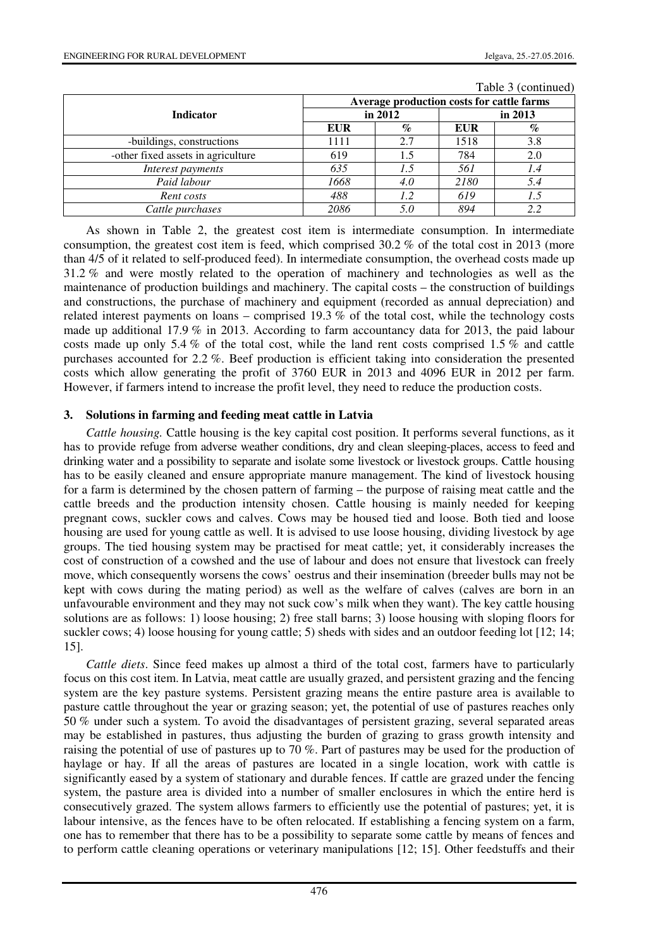|                                    |                                           |         |            | Table 3 (continued) |  |  |  |
|------------------------------------|-------------------------------------------|---------|------------|---------------------|--|--|--|
|                                    | Average production costs for cattle farms |         |            |                     |  |  |  |
| <b>Indicator</b>                   |                                           | in 2012 | in $2013$  |                     |  |  |  |
|                                    | <b>EUR</b>                                | $\%$    | <b>EUR</b> | $\%$                |  |  |  |
| -buildings, constructions          | 1111                                      | 2.7     | 1518       | 3.8                 |  |  |  |
| -other fixed assets in agriculture | 619                                       | 1.5     | 784        | 2.0                 |  |  |  |
| Interest payments                  | 635                                       | 1.5     | 561        | 1.4                 |  |  |  |
| Paid labour                        | 1668                                      | 4.0     | 2180       | 5.4                 |  |  |  |
| Rent costs                         | 488                                       | 1.2     | 619        | 1.5                 |  |  |  |
| Cattle purchases                   | 2086                                      | 5.0     | 894        | 2.2                 |  |  |  |

As shown in Table 2, the greatest cost item is intermediate consumption. In intermediate consumption, the greatest cost item is feed, which comprised 30.2 % of the total cost in 2013 (more than 4/5 of it related to self-produced feed). In intermediate consumption, the overhead costs made up 31.2 % and were mostly related to the operation of machinery and technologies as well as the maintenance of production buildings and machinery. The capital costs – the construction of buildings and constructions, the purchase of machinery and equipment (recorded as annual depreciation) and related interest payments on loans – comprised 19.3 % of the total cost, while the technology costs made up additional 17.9 % in 2013. According to farm accountancy data for 2013, the paid labour costs made up only 5.4 % of the total cost, while the land rent costs comprised 1.5 % and cattle purchases accounted for 2.2 %. Beef production is efficient taking into consideration the presented costs which allow generating the profit of 3760 EUR in 2013 and 4096 EUR in 2012 per farm. However, if farmers intend to increase the profit level, they need to reduce the production costs.

#### **3. Solutions in farming and feeding meat cattle in Latvia**

*Cattle housing.* Cattle housing is the key capital cost position. It performs several functions, as it has to provide refuge from adverse weather conditions, dry and clean sleeping-places, access to feed and drinking water and a possibility to separate and isolate some livestock or livestock groups. Cattle housing has to be easily cleaned and ensure appropriate manure management. The kind of livestock housing for a farm is determined by the chosen pattern of farming – the purpose of raising meat cattle and the cattle breeds and the production intensity chosen. Cattle housing is mainly needed for keeping pregnant cows, suckler cows and calves. Cows may be housed tied and loose. Both tied and loose housing are used for young cattle as well. It is advised to use loose housing, dividing livestock by age groups. The tied housing system may be practised for meat cattle; yet, it considerably increases the cost of construction of a cowshed and the use of labour and does not ensure that livestock can freely move, which consequently worsens the cows' oestrus and their insemination (breeder bulls may not be kept with cows during the mating period) as well as the welfare of calves (calves are born in an unfavourable environment and they may not suck cow's milk when they want). The key cattle housing solutions are as follows: 1) loose housing; 2) free stall barns; 3) loose housing with sloping floors for suckler cows; 4) loose housing for young cattle; 5) sheds with sides and an outdoor feeding lot [12; 14; 15].

*Cattle diets*. Since feed makes up almost a third of the total cost, farmers have to particularly focus on this cost item. In Latvia, meat cattle are usually grazed, and persistent grazing and the fencing system are the key pasture systems. Persistent grazing means the entire pasture area is available to pasture cattle throughout the year or grazing season; yet, the potential of use of pastures reaches only 50 % under such a system. To avoid the disadvantages of persistent grazing, several separated areas may be established in pastures, thus adjusting the burden of grazing to grass growth intensity and raising the potential of use of pastures up to 70 %. Part of pastures may be used for the production of haylage or hay. If all the areas of pastures are located in a single location, work with cattle is significantly eased by a system of stationary and durable fences. If cattle are grazed under the fencing system, the pasture area is divided into a number of smaller enclosures in which the entire herd is consecutively grazed. The system allows farmers to efficiently use the potential of pastures; yet, it is labour intensive, as the fences have to be often relocated. If establishing a fencing system on a farm, one has to remember that there has to be a possibility to separate some cattle by means of fences and to perform cattle cleaning operations or veterinary manipulations [12; 15]. Other feedstuffs and their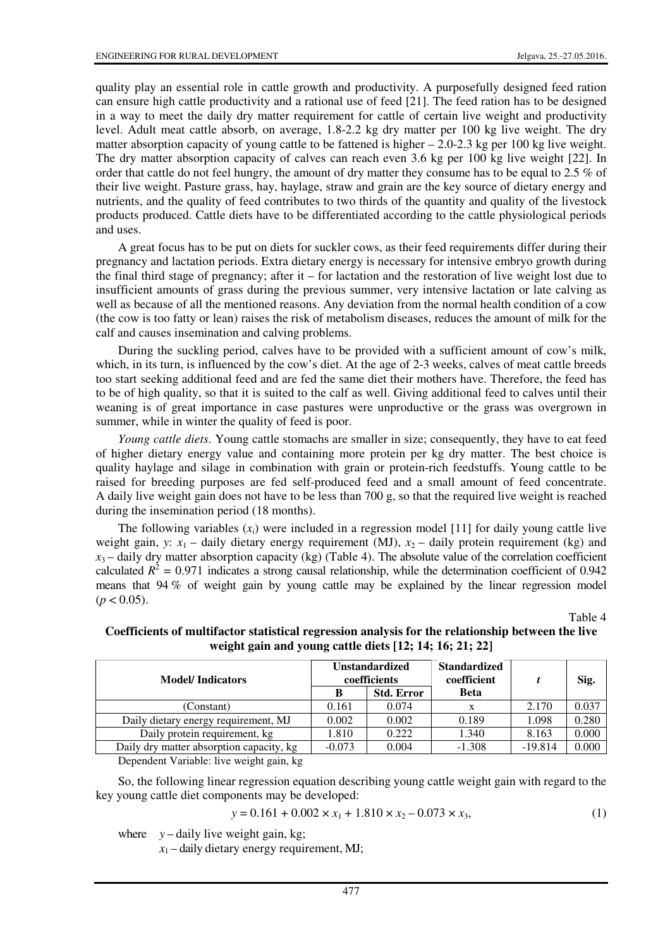quality play an essential role in cattle growth and productivity. A purposefully designed feed ration can ensure high cattle productivity and a rational use of feed [21]. The feed ration has to be designed in a way to meet the daily dry matter requirement for cattle of certain live weight and productivity level. Adult meat cattle absorb, on average, 1.8-2.2 kg dry matter per 100 kg live weight. The dry matter absorption capacity of young cattle to be fattened is higher – 2.0-2.3 kg per 100 kg live weight. The dry matter absorption capacity of calves can reach even 3.6 kg per 100 kg live weight [22]. In order that cattle do not feel hungry, the amount of dry matter they consume has to be equal to 2.5 % of their live weight. Pasture grass, hay, haylage, straw and grain are the key source of dietary energy and nutrients, and the quality of feed contributes to two thirds of the quantity and quality of the livestock products produced. Cattle diets have to be differentiated according to the cattle physiological periods and uses.

A great focus has to be put on diets for suckler cows, as their feed requirements differ during their pregnancy and lactation periods. Extra dietary energy is necessary for intensive embryo growth during the final third stage of pregnancy; after it – for lactation and the restoration of live weight lost due to insufficient amounts of grass during the previous summer, very intensive lactation or late calving as well as because of all the mentioned reasons. Any deviation from the normal health condition of a cow (the cow is too fatty or lean) raises the risk of metabolism diseases, reduces the amount of milk for the calf and causes insemination and calving problems.

During the suckling period, calves have to be provided with a sufficient amount of cow's milk, which, in its turn, is influenced by the cow's diet. At the age of 2-3 weeks, calves of meat cattle breeds too start seeking additional feed and are fed the same diet their mothers have. Therefore, the feed has to be of high quality, so that it is suited to the calf as well. Giving additional feed to calves until their weaning is of great importance in case pastures were unproductive or the grass was overgrown in summer, while in winter the quality of feed is poor.

*Young cattle diets*. Young cattle stomachs are smaller in size; consequently, they have to eat feed of higher dietary energy value and containing more protein per kg dry matter. The best choice is quality haylage and silage in combination with grain or protein-rich feedstuffs. Young cattle to be raised for breeding purposes are fed self-produced feed and a small amount of feed concentrate. A daily live weight gain does not have to be less than 700 g, so that the required live weight is reached during the insemination period (18 months).

The following variables  $(x_i)$  were included in a regression model [11] for daily young cattle live weight gain, *y*:  $x_1$  – daily dietary energy requirement (MJ),  $x_2$  – daily protein requirement (kg) and  $x_3$  – daily dry matter absorption capacity (kg) (Table 4). The absolute value of the correlation coefficient calculated  $R^2 = 0.971$  indicates a strong causal relationship, while the determination coefficient of 0.942 means that 94 % of weight gain by young cattle may be explained by the linear regression model  $(p < 0.05)$ .

Table 4

| <b>Model/Indicators</b>                  |          | <b>Unstandardized</b><br>coefficients | <b>Standardized</b><br>coefficient |           | Sig.  |
|------------------------------------------|----------|---------------------------------------|------------------------------------|-----------|-------|
|                                          |          | <b>Std. Error</b>                     | <b>Beta</b>                        |           |       |
| (Constant)                               | 0.161    | 0.074                                 |                                    | 2.170     | 0.037 |
| Daily dietary energy requirement, MJ     | 0.002    | 0.002                                 | 0.189                              | 1.098     | 0.280 |
| Daily protein requirement, kg            | 1.810    | 0.222                                 | 1.340                              | 8.163     | 0.000 |
| Daily dry matter absorption capacity, kg | $-0.073$ | 0.004                                 | $-1.308$                           | $-19.814$ | 0.000 |

## **Coefficients of multifactor statistical regression analysis for the relationship between the live weight gain and young cattle diets [12; 14; 16; 21; 22]**

Dependent Variable: live weight gain, kg

So, the following linear regression equation describing young cattle weight gain with regard to the key young cattle diet components may be developed:

$$
y = 0.161 + 0.002 \times x_1 + 1.810 \times x_2 - 0.073 \times x_3,\tag{1}
$$

where  $y$  – daily live weight gain, kg;

 $x_1$  – daily dietary energy requirement, MJ;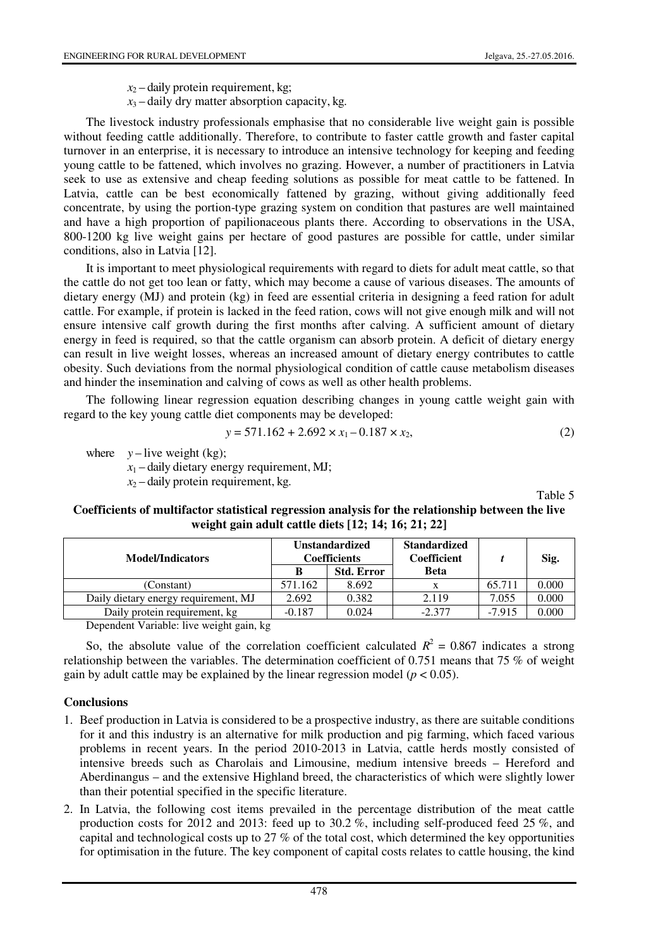- $x_2$  daily protein requirement, kg;
- $x_3$  daily dry matter absorption capacity, kg.

The livestock industry professionals emphasise that no considerable live weight gain is possible without feeding cattle additionally. Therefore, to contribute to faster cattle growth and faster capital turnover in an enterprise, it is necessary to introduce an intensive technology for keeping and feeding young cattle to be fattened, which involves no grazing. However, a number of practitioners in Latvia seek to use as extensive and cheap feeding solutions as possible for meat cattle to be fattened. In Latvia, cattle can be best economically fattened by grazing, without giving additionally feed concentrate, by using the portion-type grazing system on condition that pastures are well maintained and have a high proportion of papilionaceous plants there. According to observations in the USA, 800-1200 kg live weight gains per hectare of good pastures are possible for cattle, under similar conditions, also in Latvia [12].

It is important to meet physiological requirements with regard to diets for adult meat cattle, so that the cattle do not get too lean or fatty, which may become a cause of various diseases. The amounts of dietary energy (MJ) and protein (kg) in feed are essential criteria in designing a feed ration for adult cattle. For example, if protein is lacked in the feed ration, cows will not give enough milk and will not ensure intensive calf growth during the first months after calving. A sufficient amount of dietary energy in feed is required, so that the cattle organism can absorb protein. A deficit of dietary energy can result in live weight losses, whereas an increased amount of dietary energy contributes to cattle obesity. Such deviations from the normal physiological condition of cattle cause metabolism diseases and hinder the insemination and calving of cows as well as other health problems.

The following linear regression equation describing changes in young cattle weight gain with regard to the key young cattle diet components may be developed:

$$
y = 571.162 + 2.692 \times x_1 - 0.187 \times x_2,\tag{2}
$$

where  $y$  – live weight (kg);  $x_1$  – daily dietary energy requirement, MJ;  $x_2$  – daily protein requirement, kg.

Table 5

#### **Coefficients of multifactor statistical regression analysis for the relationship between the live weight gain adult cattle diets [12; 14; 16; 21; 22]**

| <b>Model/Indicators</b>                                       | <b>Unstandardized</b><br><b>Coefficients</b> |                   | <b>Standardized</b><br>Coefficient |          | Sig.  |
|---------------------------------------------------------------|----------------------------------------------|-------------------|------------------------------------|----------|-------|
|                                                               | В                                            | <b>Std. Error</b> | <b>Beta</b>                        |          |       |
| (Constant)                                                    | 571.162                                      | 8.692             |                                    | 65.711   | 0.000 |
| Daily dietary energy requirement, MJ                          | 2.692                                        | 0.382             | 2.119                              | 7.055    | 0.000 |
| Daily protein requirement, kg                                 | $-0.187$                                     | 0.024             | $-2.377$                           | $-7.915$ | 0.000 |
| $\mathbf{D}$ 1. $\mathbf{V}$ 11. $\mathbf{I}$ 1. $\mathbf{I}$ |                                              |                   |                                    |          |       |

Dependent Variable: live weight gain, kg

So, the absolute value of the correlation coefficient calculated  $R^2 = 0.867$  indicates a strong relationship between the variables. The determination coefficient of 0.751 means that 75 % of weight gain by adult cattle may be explained by the linear regression model ( $p < 0.05$ ).

### **Conclusions**

- 1. Beef production in Latvia is considered to be a prospective industry, as there are suitable conditions for it and this industry is an alternative for milk production and pig farming, which faced various problems in recent years. In the period 2010-2013 in Latvia, cattle herds mostly consisted of intensive breeds such as Charolais and Limousine, medium intensive breeds – Hereford and Aberdinangus – and the extensive Highland breed, the characteristics of which were slightly lower than their potential specified in the specific literature.
- 2. In Latvia, the following cost items prevailed in the percentage distribution of the meat cattle production costs for 2012 and 2013: feed up to 30.2 %, including self-produced feed 25 %, and capital and technological costs up to 27 % of the total cost, which determined the key opportunities for optimisation in the future. The key component of capital costs relates to cattle housing, the kind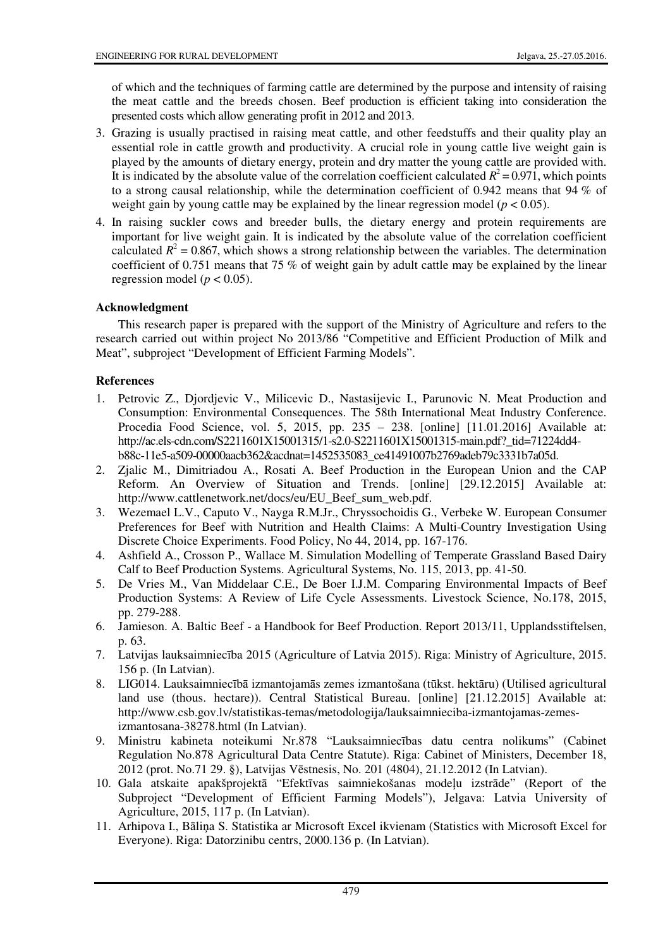of which and the techniques of farming cattle are determined by the purpose and intensity of raising the meat cattle and the breeds chosen. Beef production is efficient taking into consideration the presented costs which allow generating profit in 2012 and 2013.

- 3. Grazing is usually practised in raising meat cattle, and other feedstuffs and their quality play an essential role in cattle growth and productivity. A crucial role in young cattle live weight gain is played by the amounts of dietary energy, protein and dry matter the young cattle are provided with. It is indicated by the absolute value of the correlation coefficient calculated  $R^2 = 0.971$ , which points to a strong causal relationship, while the determination coefficient of 0.942 means that 94 % of weight gain by young cattle may be explained by the linear regression model  $(p < 0.05)$ .
- 4. In raising suckler cows and breeder bulls, the dietary energy and protein requirements are important for live weight gain. It is indicated by the absolute value of the correlation coefficient calculated  $R^2 = 0.867$ , which shows a strong relationship between the variables. The determination coefficient of 0.751 means that 75 % of weight gain by adult cattle may be explained by the linear regression model ( $p < 0.05$ ).

# **Acknowledgment**

This research paper is prepared with the support of the Ministry of Agriculture and refers to the research carried out within project No 2013/86 "Competitive and Efficient Production of Milk and Meat", subproject "Development of Efficient Farming Models".

## **References**

- 1. Petrovic Z., Djordjevic V., Milicevic D., Nastasijevic I., Parunovic N. Meat Production and Consumption: Environmental Consequences. The 58th International Meat Industry Conference. Procedia Food Science, vol. 5, 2015, pp. 235 – 238. [online] [11.01.2016] Available at: http://ac.els-cdn.com/S2211601X15001315/1-s2.0-S2211601X15001315-main.pdf? tid=71224dd4b88c-11e5-a509-00000aacb362&acdnat=1452535083\_ce41491007b2769adeb79c3331b7a05d.
- 2. Zjalic M., Dimitriadou A., Rosati A. Beef Production in the European Union and the CAP Reform. An Overview of Situation and Trends. [online] [29.12.2015] Available at: http://www.cattlenetwork.net/docs/eu/EU\_Beef\_sum\_web.pdf.
- 3. Wezemael L.V., Caputo V., Nayga R.M.Jr., Chryssochoidis G., Verbeke W. European Consumer Preferences for Beef with Nutrition and Health Claims: A Multi-Country Investigation Using Discrete Choice Experiments. Food Policy, No 44, 2014, pp. 167-176.
- 4. Ashfield A., Crosson P., Wallace M. Simulation Modelling of Temperate Grassland Based Dairy Calf to Beef Production Systems. Agricultural Systems, No. 115, 2013, pp. 41-50.
- 5. De Vries M., Van Middelaar C.E., De Boer I.J.M. Comparing Environmental Impacts of Beef Production Systems: A Review of Life Cycle Assessments. Livestock Science, No.178, 2015, pp. 279-288.
- 6. Jamieson. A. Baltic Beef a Handbook for Beef Production. Report 2013/11, Upplandsstiftelsen, p. 63.
- 7. Latvijas lauksaimniecība 2015 (Agriculture of Latvia 2015). Riga: Ministry of Agriculture, 2015. 156 p. (In Latvian).
- 8. LIG014. Lauksaimniecībā izmantojamās zemes izmantošana (tūkst. hektāru) (Utilised agricultural land use (thous. hectare)). Central Statistical Bureau. [online] [21.12.2015] Available at: http://www.csb.gov.lv/statistikas-temas/metodologija/lauksaimnieciba-izmantojamas-zemesizmantosana-38278.html (In Latvian).
- 9. Ministru kabineta noteikumi Nr.878 "Lauksaimniecības datu centra nolikums" (Cabinet Regulation No.878 Agricultural Data Centre Statute). Riga: Cabinet of Ministers, December 18, 2012 (prot. No.71 29. §), Latvijas Vēstnesis, No. 201 (4804), 21.12.2012 (In Latvian).
- 10. Gala atskaite apakšprojektā "Efektīvas saimniekošanas modeļu izstrāde" (Report of the Subproject "Development of Efficient Farming Models"), Jelgava: Latvia University of Agriculture, 2015, 117 p. (In Latvian).
- 11. Arhipova I., Bāliņa S. Statistika ar Microsoft Excel ikvienam (Statistics with Microsoft Excel for Everyone). Riga: Datorzinibu centrs, 2000.136 p. (In Latvian).